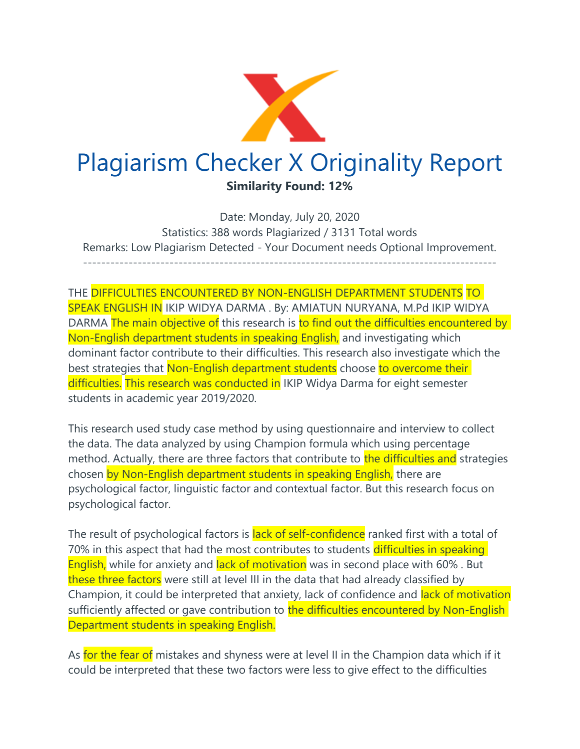

Date: Monday, July 20, 2020 Statistics: 388 words Plagiarized / 3131 Total words Remarks: Low Plagiarism Detected - Your Document needs Optional Improvement. -------------------------------------------------------------------------------------------

THE DIFFICULTIES ENCOUNTERED BY NON-ENGLISH DEPARTMENT STUDENTS TO SPEAK ENGLISH IN IKIP WIDYA DARMA . By: AMIATUN NURYANA, M.Pd IKIP WIDYA DARMA The main objective of this research is to find out the difficulties encountered by Non-English department students in speaking English, and investigating which dominant factor contribute to their difficulties. This research also investigate which the best strategies that Non-English department students choose to overcome their difficulties. This research was conducted in IKIP Widya Darma for eight semester students in academic year 2019/2020.

This research used study case method by using questionnaire and interview to collect the data. The data analyzed by using Champion formula which using percentage method. Actually, there are three factors that contribute to the difficulties and strategies chosen by Non-English department students in speaking English, there are psychological factor, linguistic factor and contextual factor. But this research focus on psychological factor.

The result of psychological factors is lack of self-confidence ranked first with a total of 70% in this aspect that had the most contributes to students difficulties in speaking English, while for anxiety and lack of motivation was in second place with 60%. But these three factors were still at level III in the data that had already classified by Champion, it could be interpreted that anxiety, lack of confidence and lack of motivation sufficiently affected or gave contribution to the difficulties encountered by Non-English Department students in speaking English.

As for the fear of mistakes and shyness were at level II in the Champion data which if it could be interpreted that these two factors were less to give effect to the difficulties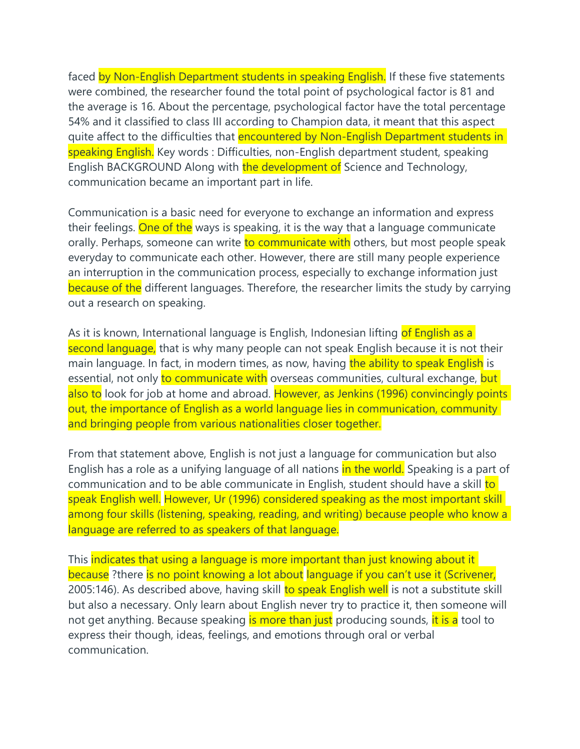faced by Non-English Department students in speaking English. If these five statements were combined, the researcher found the total point of psychological factor is 81 and the average is 16. About the percentage, psychological factor have the total percentage 54% and it classified to class III according to Champion data, it meant that this aspect quite affect to the difficulties that encountered by Non-English Department students in speaking English. Key words : Difficulties, non-English department student, speaking English BACKGROUND Along with the development of Science and Technology, communication became an important part in life.

Communication is a basic need for everyone to exchange an information and express their feelings. One of the ways is speaking, it is the way that a language communicate orally. Perhaps, someone can write to communicate with others, but most people speak everyday to communicate each other. However, there are still many people experience an interruption in the communication process, especially to exchange information just because of the different languages. Therefore, the researcher limits the study by carrying out a research on speaking.

As it is known, International language is English, Indonesian lifting of English as a second language, that is why many people can not speak English because it is not their main language. In fact, in modern times, as now, having the ability to speak English is essential, not only to communicate with overseas communities, cultural exchange, but also to look for job at home and abroad. However, as Jenkins (1996) convincingly points out, the importance of English as a world language lies in communication, community and bringing people from various nationalities closer together.

From that statement above, English is not just a language for communication but also English has a role as a unifying language of all nations in the world. Speaking is a part of communication and to be able communicate in English, student should have a skill to speak English well. However, Ur (1996) considered speaking as the most important skill among four skills (listening, speaking, reading, and writing) because people who know a language are referred to as speakers of that language.

This indicates that using a language is more important than just knowing about it because ?there is no point knowing a lot about language if you can't use it (Scrivener, 2005:146). As described above, having skill to speak English well is not a substitute skill but also a necessary. Only learn about English never try to practice it, then someone will not get anything. Because speaking is more than just producing sounds, it is a tool to express their though, ideas, feelings, and emotions through oral or verbal communication.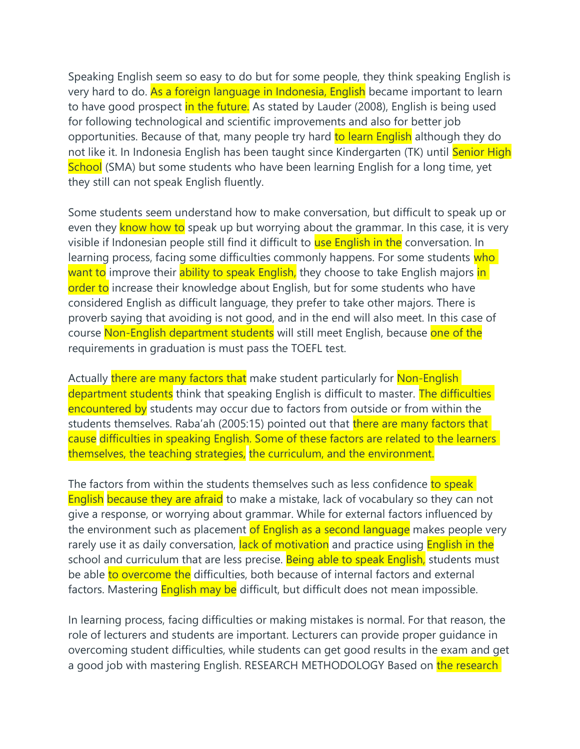Speaking English seem so easy to do but for some people, they think speaking English is very hard to do. As a foreign language in Indonesia, English became important to learn to have good prospect in the future. As stated by Lauder (2008), English is being used for following technological and scientific improvements and also for better job opportunities. Because of that, many people try hard to learn English although they do not like it. In Indonesia English has been taught since Kindergarten (TK) until Senior High School (SMA) but some students who have been learning English for a long time, yet they still can not speak English fluently.

Some students seem understand how to make conversation, but difficult to speak up or even they know how to speak up but worrying about the grammar. In this case, it is very visible if Indonesian people still find it difficult to use English in the conversation. In learning process, facing some difficulties commonly happens. For some students who want to improve their ability to speak English, they choose to take English majors in order to increase their knowledge about English, but for some students who have considered English as difficult language, they prefer to take other majors. There is proverb saying that avoiding is not good, and in the end will also meet. In this case of course Non-English department students will still meet English, because one of the requirements in graduation is must pass the TOEFL test.

Actually there are many factors that make student particularly for Non-English department students think that speaking English is difficult to master. The difficulties encountered by students may occur due to factors from outside or from within the students themselves. Raba'ah (2005:15) pointed out that there are many factors that cause difficulties in speaking English. Some of these factors are related to the learners themselves, the teaching strategies, the curriculum, and the environment.

The factors from within the students themselves such as less confidence to speak English because they are afraid to make a mistake, lack of vocabulary so they can not give a response, or worrying about grammar. While for external factors influenced by the environment such as placement of English as a second language makes people very rarely use it as daily conversation, lack of motivation and practice using **English in the** school and curriculum that are less precise. Being able to speak English, students must be able to overcome the difficulties, both because of internal factors and external factors. Mastering **English may be** difficult, but difficult does not mean impossible.

In learning process, facing difficulties or making mistakes is normal. For that reason, the role of lecturers and students are important. Lecturers can provide proper guidance in overcoming student difficulties, while students can get good results in the exam and get a good job with mastering English. RESEARCH METHODOLOGY Based on the research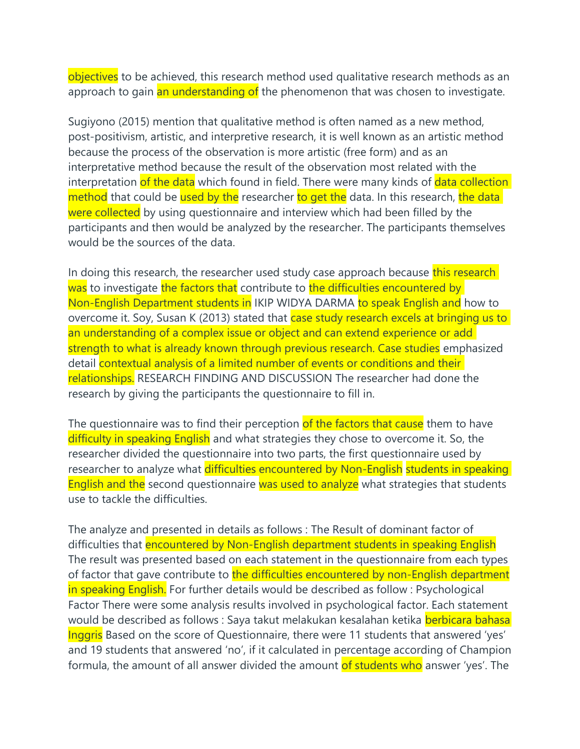objectives to be achieved, this research method used qualitative research methods as an approach to gain an understanding of the phenomenon that was chosen to investigate.

Sugiyono (2015) mention that qualitative method is often named as a new method, post-positivism, artistic, and interpretive research, it is well known as an artistic method because the process of the observation is more artistic (free form) and as an interpretative method because the result of the observation most related with the interpretation of the data which found in field. There were many kinds of data collection method that could be used by the researcher to get the data. In this research, the data were collected by using questionnaire and interview which had been filled by the participants and then would be analyzed by the researcher. The participants themselves would be the sources of the data.

In doing this research, the researcher used study case approach because this research was to investigate the factors that contribute to the difficulties encountered by Non-English Department students in IKIP WIDYA DARMA to speak English and how to overcome it. Soy, Susan K (2013) stated that case study research excels at bringing us to an understanding of a complex issue or object and can extend experience or add strength to what is already known through previous research. Case studies emphasized detail contextual analysis of a limited number of events or conditions and their relationships. RESEARCH FINDING AND DISCUSSION The researcher had done the research by giving the participants the questionnaire to fill in.

The questionnaire was to find their perception of the factors that cause them to have difficulty in speaking English and what strategies they chose to overcome it. So, the researcher divided the questionnaire into two parts, the first questionnaire used by researcher to analyze what difficulties encountered by Non-English students in speaking English and the second questionnaire was used to analyze what strategies that students use to tackle the difficulties.

The analyze and presented in details as follows : The Result of dominant factor of difficulties that encountered by Non-English department students in speaking English The result was presented based on each statement in the questionnaire from each types of factor that gave contribute to the difficulties encountered by non-English department in speaking English. For further details would be described as follow : Psychological Factor There were some analysis results involved in psychological factor. Each statement would be described as follows : Saya takut melakukan kesalahan ketika berbicara bahasa Inggris Based on the score of Questionnaire, there were 11 students that answered 'yes' and 19 students that answered 'no', if it calculated in percentage according of Champion formula, the amount of all answer divided the amount of students who answer 'yes'. The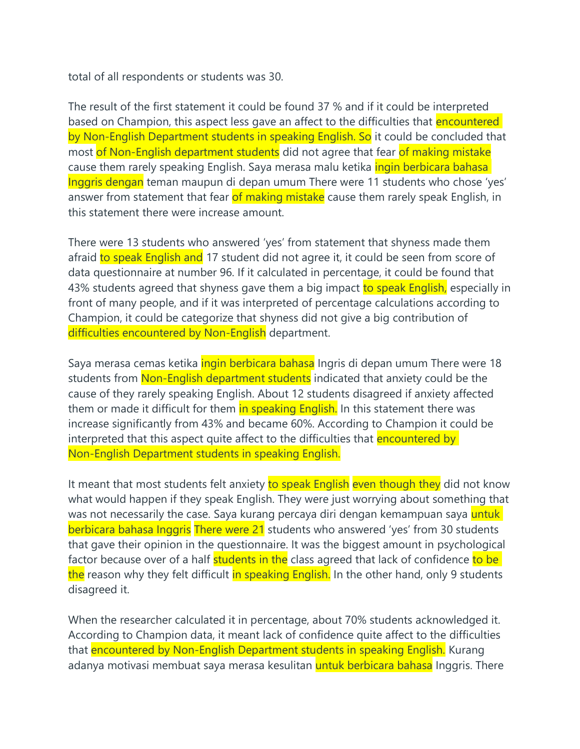total of all respondents or students was 30.

The result of the first statement it could be found 37 % and if it could be interpreted based on Champion, this aspect less gave an affect to the difficulties that **encountered** by Non-English Department students in speaking English. So it could be concluded that most of Non-English department students did not agree that fear of making mistake cause them rarely speaking English. Saya merasa malu ketika *ingin berbicara bahasa* Inggris dengan teman maupun di depan umum There were 11 students who chose 'yes' answer from statement that fear of making mistake cause them rarely speak English, in this statement there were increase amount.

There were 13 students who answered 'yes' from statement that shyness made them afraid to speak English and 17 student did not agree it, it could be seen from score of data questionnaire at number 96. If it calculated in percentage, it could be found that 43% students agreed that shyness gave them a big impact to speak English, especially in front of many people, and if it was interpreted of percentage calculations according to Champion, it could be categorize that shyness did not give a big contribution of difficulties encountered by Non-English department.

Saya merasa cemas ketika *ingin berbicara bahasa* Ingris di depan umum There were 18 students from Non-English department students indicated that anxiety could be the cause of they rarely speaking English. About 12 students disagreed if anxiety affected them or made it difficult for them in speaking English. In this statement there was increase significantly from 43% and became 60%. According to Champion it could be interpreted that this aspect quite affect to the difficulties that encountered by Non-English Department students in speaking English.

It meant that most students felt anxiety to speak English even though they did not know what would happen if they speak English. They were just worrying about something that was not necessarily the case. Saya kurang percaya diri dengan kemampuan saya untuk berbicara bahasa Inggris There were 21 students who answered 'yes' from 30 students that gave their opinion in the questionnaire. It was the biggest amount in psychological factor because over of a half students in the class agreed that lack of confidence to be the reason why they felt difficult in speaking English. In the other hand, only 9 students disagreed it.

When the researcher calculated it in percentage, about 70% students acknowledged it. According to Champion data, it meant lack of confidence quite affect to the difficulties that encountered by Non-English Department students in speaking English. Kurang adanya motivasi membuat saya merasa kesulitan **untuk berbicara bahasa** Inggris. There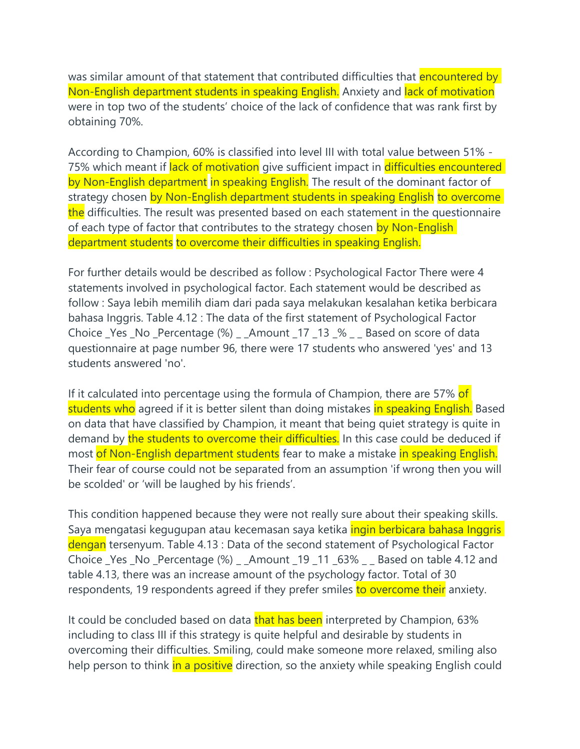was similar amount of that statement that contributed difficulties that encountered by Non-English department students in speaking English. Anxiety and lack of motivation were in top two of the students' choice of the lack of confidence that was rank first by obtaining 70%.

According to Champion, 60% is classified into level III with total value between 51% - 75% which meant if lack of motivation give sufficient impact in difficulties encountered by Non-English department in speaking English. The result of the dominant factor of strategy chosen by Non-English department students in speaking English to overcome the difficulties. The result was presented based on each statement in the questionnaire of each type of factor that contributes to the strategy chosen by Non-English department students to overcome their difficulties in speaking English.

For further details would be described as follow : Psychological Factor There were 4 statements involved in psychological factor. Each statement would be described as follow : Saya lebih memilih diam dari pada saya melakukan kesalahan ketika berbicara bahasa Inggris. Table 4.12 : The data of the first statement of Psychological Factor Choice \_Yes \_No \_Percentage (%) \_ \_Amount \_17 \_13 \_% \_ \_ Based on score of data questionnaire at page number 96, there were 17 students who answered 'yes' and 13 students answered 'no'.

If it calculated into percentage using the formula of Champion, there are 57% of students who agreed if it is better silent than doing mistakes in speaking English. Based on data that have classified by Champion, it meant that being quiet strategy is quite in demand by the students to overcome their difficulties. In this case could be deduced if most of Non-English department students fear to make a mistake in speaking English. Their fear of course could not be separated from an assumption 'if wrong then you will be scolded' or 'will be laughed by his friends'.

This condition happened because they were not really sure about their speaking skills. Saya mengatasi kegugupan atau kecemasan saya ketika *ingin berbicara bahasa Inggris* dengan tersenyum. Table 4.13 : Data of the second statement of Psychological Factor Choice \_Yes \_No \_Percentage (%) \_ \_Amount \_19 \_11 \_63% \_ \_ Based on table 4.12 and table 4.13, there was an increase amount of the psychology factor. Total of 30 respondents, 19 respondents agreed if they prefer smiles to overcome their anxiety.

It could be concluded based on data that has been interpreted by Champion, 63% including to class III if this strategy is quite helpful and desirable by students in overcoming their difficulties. Smiling, could make someone more relaxed, smiling also help person to think in a positive direction, so the anxiety while speaking English could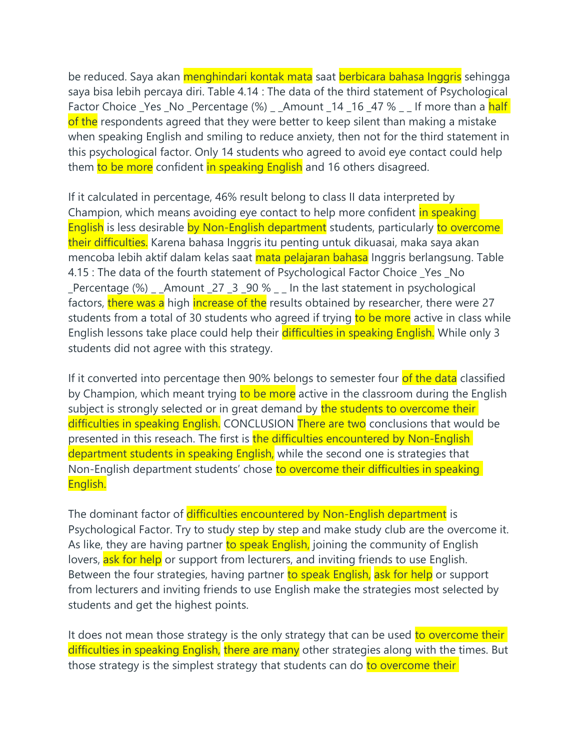be reduced. Saya akan menghindari kontak mata saat berbicara bahasa Inggris sehingga saya bisa lebih percaya diri. Table 4.14 : The data of the third statement of Psychological Factor Choice Yes No Percentage  $\frac{1}{2}$  Amount 14 16 47 % Lif more than a half of the respondents agreed that they were better to keep silent than making a mistake when speaking English and smiling to reduce anxiety, then not for the third statement in this psychological factor. Only 14 students who agreed to avoid eye contact could help them to be more confident in speaking English and 16 others disagreed.

If it calculated in percentage, 46% result belong to class II data interpreted by Champion, which means avoiding eye contact to help more confident in speaking English is less desirable by Non-English department students, particularly to overcome their difficulties. Karena bahasa Inggris itu penting untuk dikuasai, maka saya akan mencoba lebih aktif dalam kelas saat mata pelajaran bahasa Inggris berlangsung. Table 4.15 : The data of the fourth statement of Psychological Factor Choice \_Yes \_No Percentage  $%$   $\Box$  Amount  $27 \underline{3} \underline{90 \%}$   $\Box$  In the last statement in psychological factors, there was a high increase of the results obtained by researcher, there were 27 students from a total of 30 students who agreed if trying to be more active in class while English lessons take place could help their difficulties in speaking English. While only 3 students did not agree with this strategy.

If it converted into percentage then 90% belongs to semester four of the data classified by Champion, which meant trying to be more active in the classroom during the English subject is strongly selected or in great demand by the students to overcome their difficulties in speaking English. CONCLUSION There are two conclusions that would be presented in this reseach. The first is the difficulties encountered by Non-English department students in speaking English, while the second one is strategies that Non-English department students' chose to overcome their difficulties in speaking English.

The dominant factor of difficulties encountered by Non-English department is Psychological Factor. Try to study step by step and make study club are the overcome it. As like, they are having partner to speak English, joining the community of English lovers, ask for help or support from lecturers, and inviting friends to use English. Between the four strategies, having partner to speak English, ask for help or support from lecturers and inviting friends to use English make the strategies most selected by students and get the highest points.

It does not mean those strategy is the only strategy that can be used to overcome their difficulties in speaking English, there are many other strategies along with the times. But those strategy is the simplest strategy that students can do to overcome their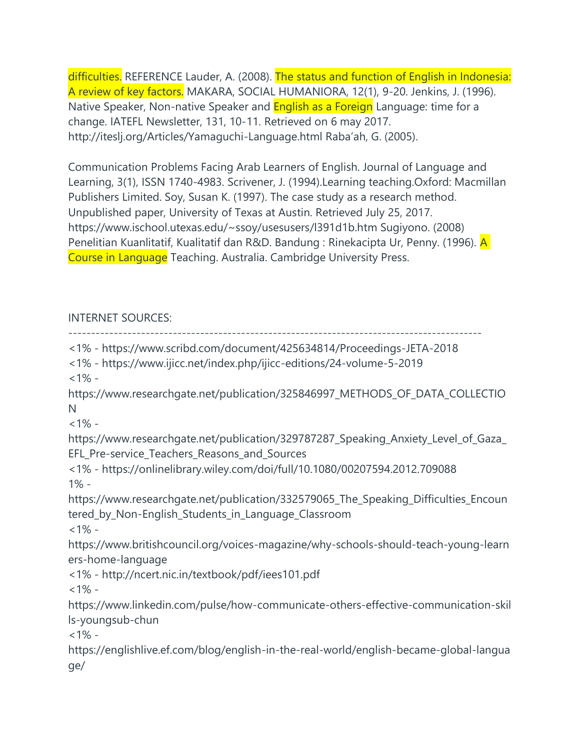difficulties. REFERENCE Lauder, A. (2008). The status and function of English in Indonesia: A review of key factors. MAKARA, SOCIAL HUMANIORA, 12(1), 9-20. Jenkins, J. (1996). Native Speaker, Non-native Speaker and **English as a Foreign** Language: time for a change. IATEFL Newsletter, 131, 10-11. Retrieved on 6 may 2017. http://iteslj.org/Articles/Yamaguchi-Language.html Raba'ah, G. (2005).

Communication Problems Facing Arab Learners of English. Journal of Language and Learning, 3(1), ISSN 1740-4983. Scrivener, J. (1994).Learning teaching.Oxford: Macmillan Publishers Limited. Soy, Susan K. (1997). The case study as a research method. Unpublished paper, University of Texas at Austin. Retrieved July 25, 2017. https://www.ischool.utexas.edu/~ssoy/usesusers/l391d1b.htm Sugiyono. (2008) Penelitian Kuanlitatif, Kualitatif dan R&D. Bandung : Rinekacipta Ur, Penny. (1996). A Course in Language Teaching. Australia. Cambridge University Press.

## INTERNET SOURCES:

------------------------------------------------------------------------------------------- <1% - https://www.scribd.com/document/425634814/Proceedings-JETA-2018 <1% - https://www.ijicc.net/index.php/ijicc-editions/24-volume-5-2019  $<1\%$  https://www.researchgate.net/publication/325846997\_METHODS\_OF\_DATA\_COLLECTIO N  $<1\%$  https://www.researchgate.net/publication/329787287\_Speaking\_Anxiety\_Level\_of\_Gaza\_ EFL Pre-service Teachers Reasons and Sources <1% - https://onlinelibrary.wiley.com/doi/full/10.1080/00207594.2012.709088 1% https://www.researchgate.net/publication/332579065\_The\_Speaking\_Difficulties\_Encoun tered\_by\_Non-English\_Students\_in\_Language\_Classroom  $<1\%$  https://www.britishcouncil.org/voices-magazine/why-schools-should-teach-young-learn ers-home-language <1% - http://ncert.nic.in/textbook/pdf/iees101.pdf  $<1\%$  https://www.linkedin.com/pulse/how-communicate-others-effective-communication-skil ls-youngsub-chun  $<1\%$  https://englishlive.ef.com/blog/english-in-the-real-world/english-became-global-langua ge/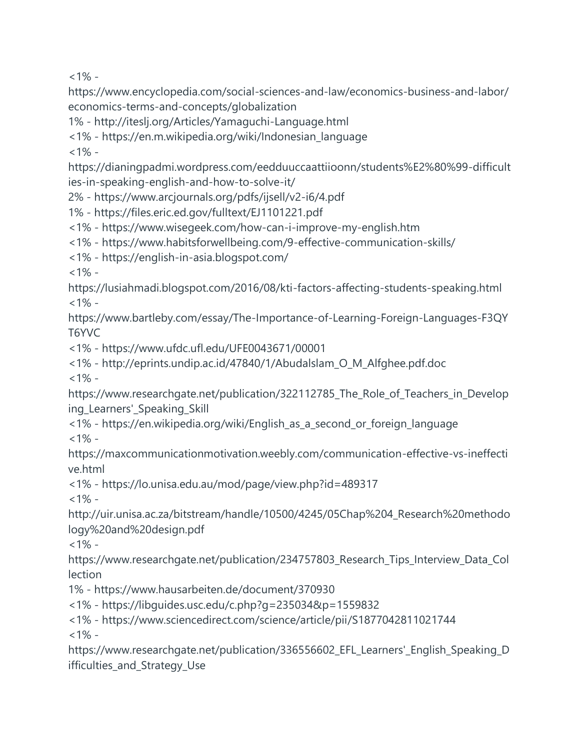$<1\%$  -

https://www.encyclopedia.com/social-sciences-and-law/economics-business-and-labor/ economics-terms-and-concepts/globalization

1% - http://iteslj.org/Articles/Yamaguchi-Language.html

<1% - https://en.m.wikipedia.org/wiki/Indonesian\_language

 $1\% -$ 

https://dianingpadmi.wordpress.com/eedduuccaattiioonn/students%E2%80%99-difficult ies-in-speaking-english-and-how-to-solve-it/

2% - https://www.arcjournals.org/pdfs/ijsell/v2-i6/4.pdf

1% - https://files.eric.ed.gov/fulltext/EJ1101221.pdf

<1% - https://www.wisegeek.com/how-can-i-improve-my-english.htm

<1% - https://www.habitsforwellbeing.com/9-effective-communication-skills/

<1% - https://english-in-asia.blogspot.com/

 $<1\%$  -

https://lusiahmadi.blogspot.com/2016/08/kti-factors-affecting-students-speaking.html  $<1\%$  -

https://www.bartleby.com/essay/The-Importance-of-Learning-Foreign-Languages-F3QY T6YVC

<1% - https://www.ufdc.ufl.edu/UFE0043671/00001

<1% - http://eprints.undip.ac.id/47840/1/Abudalslam\_O\_M\_Alfghee.pdf.doc

 $<1\%$  -

https://www.researchgate.net/publication/322112785\_The\_Role\_of\_Teachers\_in\_Develop ing\_Learners'\_Speaking\_Skill

<1% - https://en.wikipedia.org/wiki/English\_as\_a\_second\_or\_foreign\_language  $<1\%$  -

https://maxcommunicationmotivation.weebly.com/communication-effective-vs-ineffecti ve.html

<1% - https://lo.unisa.edu.au/mod/page/view.php?id=489317

 $<1\%$  -

http://uir.unisa.ac.za/bitstream/handle/10500/4245/05Chap%204\_Research%20methodo logy%20and%20design.pdf

 $<1\%$  -

https://www.researchgate.net/publication/234757803\_Research\_Tips\_Interview\_Data\_Col lection

1% - https://www.hausarbeiten.de/document/370930

<1% - https://libguides.usc.edu/c.php?g=235034&p=1559832

<1% - https://www.sciencedirect.com/science/article/pii/S1877042811021744

 $<1\%$  -

https://www.researchgate.net/publication/336556602\_EFL\_Learners'\_English\_Speaking\_D ifficulties\_and\_Strategy\_Use